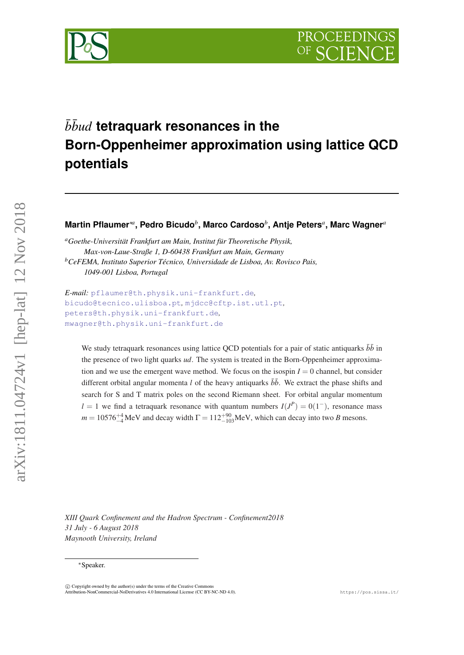

# $\bar{b} \bar{b}$ *ud* tetraquark resonances in the **Born-Oppenheimer approximation using lattice QCD potentials**

 $\blacksquare$ Martin Pflaumer\*ª, Pedro Bicudo $^b$ , Marco Cardoso $^b$ , Antje Peters<sup>a</sup>, Marc Wagner<sup>a</sup>

*<sup>a</sup>Goethe-Universität Frankfurt am Main, Institut für Theoretische Physik, Max-von-Laue-Straße 1, D-60438 Frankfurt am Main, Germany <sup>b</sup>CeFEMA, Instituto Superior Técnico, Universidade de Lisboa, Av. Rovisco Pais, 1049-001 Lisboa, Portugal*

*E-mail:* [pflaumer@th.physik.uni-frankfurt.de](mailto:pflaumer@th.physik.uni-frankfurt.de)*,* [bicudo@tecnico.ulisboa.pt](mailto:bicudo@tecnico.ulisboa.pt)*,* [mjdcc@cftp.ist.utl.pt](mailto:mjdcc@cftp.ist.utl.pt)*,* [peters@th.physik.uni-frankfurt.de](mailto:peters@th.physik.uni-frankfurt.de)*,* [mwagner@th.physik.uni-frankfurt.de](mailto:mwagner@th.physik.uni-frankfurt.de)

We study tetraquark resonances using lattice QCD potentials for a pair of static antiquarks  $b\bar{b}$  in the presence of two light quarks *ud*. The system is treated in the Born-Oppenheimer approximation and we use the emergent wave method. We focus on the isospin  $I = 0$  channel, but consider different orbital angular momenta *l* of the heavy antiquarks  $\bar{b}\bar{b}$ . We extract the phase shifts and search for S and T matrix poles on the second Riemann sheet. For orbital angular momentum *l* = 1 we find a tetraquark resonance with quantum numbers  $I(J^P) = O(1^-)$ , resonance mass  $m = 10576^{+4}_{-4}$ MeV and decay width  $\Gamma = 112^{+90}_{-103}$ MeV, which can decay into two *B* mesons.

*XIII Quark Confinement and the Hadron Spectrum - Confinement2018 31 July - 6 August 2018 Maynooth University, Ireland*

<sup>∗</sup>Speaker.

 $\overline{c}$  Copyright owned by the author(s) under the terms of the Creative Common Attribution-NonCommercial-NoDerivatives 4.0 International License (CC BY-NC-ND 4.0). https://pos.sissa.it/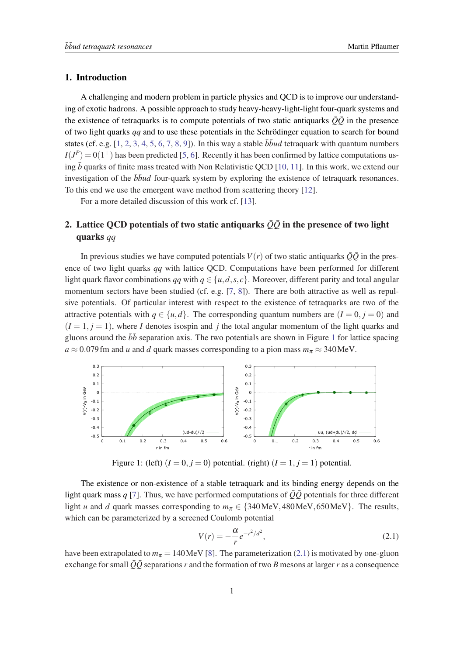# <span id="page-1-0"></span>1. Introduction

A challenging and modern problem in particle physics and QCD is to improve our understanding of exotic hadrons. A possible approach to study heavy-heavy-light-light four-quark systems and the existence of tetraquarks is to compute potentials of two static antiquarks  $\overline{Q}\overline{Q}$  in the presence of two light quarks *qq* and to use these potentials in the Schrödinger equation to search for bound states (cf. e.g.  $[1, 2, 3, 4, 5, 6, 7, 8, 9]$  $[1, 2, 3, 4, 5, 6, 7, 8, 9]$  $[1, 2, 3, 4, 5, 6, 7, 8, 9]$  $[1, 2, 3, 4, 5, 6, 7, 8, 9]$  $[1, 2, 3, 4, 5, 6, 7, 8, 9]$  $[1, 2, 3, 4, 5, 6, 7, 8, 9]$  $[1, 2, 3, 4, 5, 6, 7, 8, 9]$  $[1, 2, 3, 4, 5, 6, 7, 8, 9]$  $[1, 2, 3, 4, 5, 6, 7, 8, 9]$  $[1, 2, 3, 4, 5, 6, 7, 8, 9]$  $[1, 2, 3, 4, 5, 6, 7, 8, 9]$  $[1, 2, 3, 4, 5, 6, 7, 8, 9]$  $[1, 2, 3, 4, 5, 6, 7, 8, 9]$  $[1, 2, 3, 4, 5, 6, 7, 8, 9]$  $[1, 2, 3, 4, 5, 6, 7, 8, 9]$  $[1, 2, 3, 4, 5, 6, 7, 8, 9]$  $[1, 2, 3, 4, 5, 6, 7, 8, 9]$ ). In this way a stable  $\overline{b}$ *bud* tetraquark with quantum numbers  $I(J^P) = 0(1^+)$  has been predicted [[5](#page-6-0), [6\]](#page-7-0). Recently it has been confirmed by lattice computations using  $\bar{b}$  quarks of finite mass treated with Non Relativistic QCD [[10,](#page-7-0) [11\]](#page-7-0). In this work, we extend our investigation of the  $b\bar{b}u$  four-quark system by exploring the existence of tetraquark resonances. To this end we use the emergent wave method from scattering theory [\[12](#page-7-0)].

For a more detailed discussion of this work cf. [\[13](#page-7-0)].

# 2. Lattice QCD potentials of two static antiquarks  $\overline{Q}\overline{Q}$  in the presence of two light quarks *qq*

In previous studies we have computed potentials  $V(r)$  of two static antiquarks  $\overline{Q}\overline{Q}$  in the presence of two light quarks *qq* with lattice QCD. Computations have been performed for different light quark flavor combinations *qq* with  $q \in \{u, d, s, c\}$ . Moreover, different parity and total angular momentum sectors have been studied (cf. e.g. [[7](#page-7-0), [8](#page-7-0)]). There are both attractive as well as repulsive potentials. Of particular interest with respect to the existence of tetraquarks are two of the attractive potentials with  $q \in \{u,d\}$ . The corresponding quantum numbers are  $(I = 0, j = 0)$  and  $(I = 1, j = 1)$ , where *I* denotes isospin and *j* the total angular momentum of the light quarks and gluons around the  $b\bar{b}$  separation axis. The two potentials are shown in Figure 1 for lattice spacing  $a \approx 0.079$  fm and *u* and *d* quark masses corresponding to a pion mass  $m_\pi \approx 340$  MeV.



Figure 1: (left)  $(I = 0, j = 0)$  potential. (right)  $(I = 1, j = 1)$  potential.

The existence or non-existence of a stable tetraquark and its binding energy depends on the light quark mass *q* [[7](#page-7-0)]. Thus, we have performed computations of  $\overline{Q}\overline{Q}$  potentials for three different light *u* and *d* quark masses corresponding to  $m_\pi \in \{340 \text{MeV}, 480 \text{MeV}, 650 \text{MeV}\}\.$  The results, which can be parameterized by a screened Coulomb potential

$$
V(r) = -\frac{\alpha}{r} e^{-r^2/d^2},
$$
\n(2.1)

have been extrapolated to  $m_{\pi} = 140 \text{ MeV}$  [[8](#page-7-0)]. The parameterization (2.1) is motivated by one-gluon exchange for small  $\overline{Q}\overline{Q}$  separations *r* and the formation of two *B* mesons at larger *r* as a consequence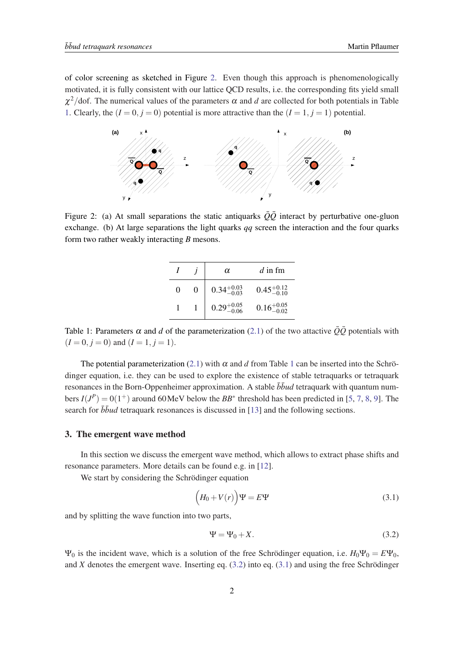of color screening as sketched in Figure 2. Even though this approach is phenomenologically motivated, it is fully consistent with our lattice QCD results, i.e. the corresponding fits yield small  $\chi^2$ /dof. The numerical values of the parameters  $\alpha$  and  $d$  are collected for both potentials in Table 1. Clearly, the  $(I = 0, j = 0)$  potential is more attractive than the  $(I = 1, j = 1)$  potential.



Figure 2: (a) At small separations the static antiquarks  $\overline{Q}\overline{Q}$  interact by perturbative one-gluon exchange. (b) At large separations the light quarks *qq* screen the interaction and the four quarks form two rather weakly interacting *B* mesons.

|                   | $\alpha$               | $d$ in fm              |
|-------------------|------------------------|------------------------|
| $\mathbf{\Omega}$ | $0.34^{+0.03}_{-0.03}$ | $0.45^{+0.12}_{-0.10}$ |
|                   | $0.29_{-0.06}^{+0.05}$ | $0.16^{+0.05}_{-0.02}$ |

Table 1: Parameters  $\alpha$  and *d* of the parameterization ([2.1\)](#page-1-0) of the two attactive  $\overline{Q}\overline{Q}$  potentials with  $(I = 0, j = 0)$  and  $(I = 1, j = 1)$ .

The potential parameterization [\(2.1\)](#page-1-0) with  $\alpha$  and  $d$  from Table 1 can be inserted into the Schrödinger equation, i.e. they can be used to explore the existence of stable tetraquarks or tetraquark resonances in the Born-Oppenheimer approximation. A stable  $b\bar{b}u$  tetraquark with quantum numbers  $I(J^P) = 0(1^+)$  around 60 MeV below the *BB*<sup>\*</sup> threshold has been predicted in [\[5,](#page-6-0) [7,](#page-7-0) [8](#page-7-0), [9](#page-7-0)]. The search for  $b\bar{b}u$  tetraquark resonances is discussed in [\[13](#page-7-0)] and the following sections.

#### 3. The emergent wave method

In this section we discuss the emergent wave method, which allows to extract phase shifts and resonance parameters. More details can be found e.g. in [[12\]](#page-7-0).

We start by considering the Schrödinger equation

$$
(H_0 + V(r))\Psi = E\Psi \tag{3.1}
$$

and by splitting the wave function into two parts,

$$
\Psi = \Psi_0 + X. \tag{3.2}
$$

 $\Psi_0$  is the incident wave, which is a solution of the free Schrödinger equation, i.e.  $H_0\Psi_0 = E\Psi_0$ , and *X* denotes the emergent wave. Inserting eq. (3.2) into eq. (3.1) and using the free Schrödinger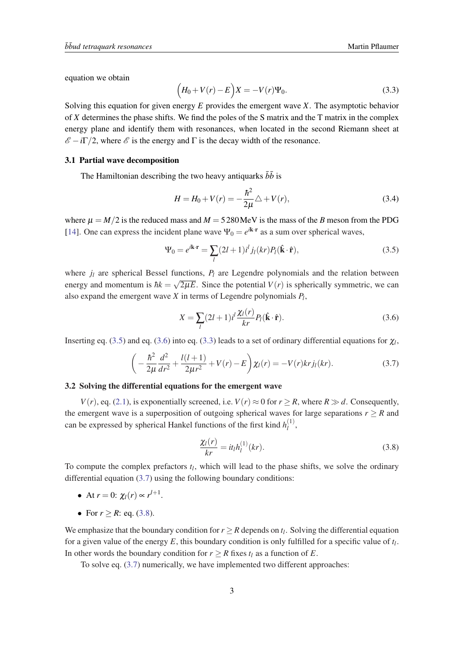<span id="page-3-0"></span>equation we obtain

$$
(H_0 + V(r) - E)X = -V(r)\Psi_0.
$$
\n(3.3)

Solving this equation for given energy *E* provides the emergent wave *X*. The asymptotic behavior of *X* determines the phase shifts. We find the poles of the S matrix and the T matrix in the complex energy plane and identify them with resonances, when located in the second Riemann sheet at  $\mathscr{E} - i\Gamma/2$ , where  $\mathscr{E}$  is the energy and  $\Gamma$  is the decay width of the resonance.

# 3.1 Partial wave decomposition

The Hamiltonian describing the two heavy antiquarks  $\bar{b}\bar{b}$  is

$$
H = H_0 + V(r) = -\frac{\hbar^2}{2\mu} \triangle + V(r),
$$
\n(3.4)

where  $\mu = M/2$  is the reduced mass and  $M = 5280 \text{ MeV}$  is the mass of the *B* meson from the PDG [[14\]](#page-7-0). One can express the incident plane wave  $\Psi_0 = e^{i\mathbf{k} \cdot \mathbf{r}}$  as a sum over spherical waves,

$$
\Psi_0 = e^{i\mathbf{k}\cdot\mathbf{r}} = \sum_l (2l+1)i^l j_l(kr) P_l(\hat{\mathbf{k}}\cdot\hat{\mathbf{r}}),\tag{3.5}
$$

where  $j_l$  are spherical Bessel functions,  $P_l$  are Legendre polynomials and the relation between energy and momentum is  $\hbar k = \sqrt{2\mu E}$ . Since the potential  $V(r)$  is spherically symmetric, we can also expand the emergent wave *X* in terms of Legendre polynomials *P<sup>l</sup>* ,

$$
X = \sum_{l} (2l+1)i^{l} \frac{\chi_{l}(r)}{kr} P_{l}(\hat{\mathbf{k}} \cdot \hat{\mathbf{r}}).
$$
 (3.6)

Inserting eq. (3.5) and eq. (3.6) into eq. (3.3) leads to a set of ordinary differential equations for  $\chi_l$ ,

$$
\left(-\frac{\hbar^2}{2\mu}\frac{d^2}{dr^2} + \frac{l(l+1)}{2\mu r^2} + V(r) - E\right)\chi_l(r) = -V(r)krj_l(kr).
$$
\n(3.7)

## 3.2 Solving the differential equations for the emergent wave

*V*(*r*), eq. [\(2.1](#page-1-0)), is exponentially screened, i.e. *V*(*r*)  $\approx$  0 for *r*  $\geq$  *R*, where *R*  $\gg$  *d*. Consequently, the emergent wave is a superposition of outgoing spherical waves for large separations  $r > R$  and can be expressed by spherical Hankel functions of the first kind  $h_l^{(1)}$  $\frac{1}{l}$ ,

$$
\frac{\chi_l(r)}{kr} = it_l h_l^{(1)}(kr). \tag{3.8}
$$

To compute the complex prefactors *t<sup>l</sup>* , which will lead to the phase shifts, we solve the ordinary differential equation (3.7) using the following boundary conditions:

- At  $r = 0$ :  $\chi_l(r) \propto r^{l+1}$ .
- For  $r > R$ : eq. (3.8).

We emphasize that the boundary condition for  $r \geq R$  depends on  $t_l$ . Solving the differential equation for a given value of the energy *E*, this boundary condition is only fulfilled for a specific value of *t<sup>l</sup>* . In other words the boundary condition for  $r > R$  fixes  $t_l$  as a function of *E*.

To solve eq. (3.7) numerically, we have implemented two different approaches: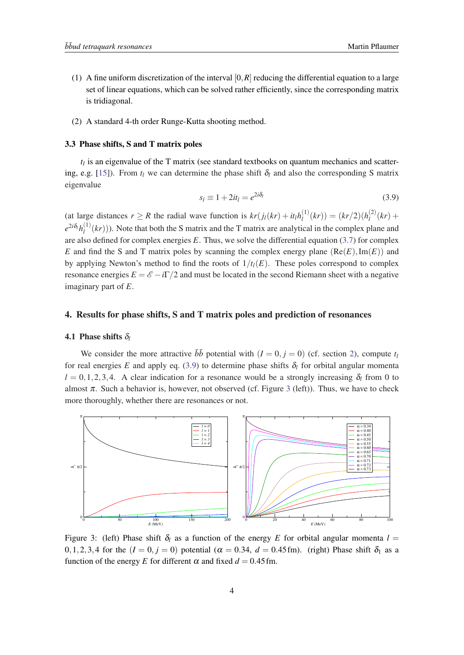- <span id="page-4-0"></span>(1) A fine uniform discretization of the interval  $[0, R]$  reducing the differential equation to a large set of linear equations, which can be solved rather efficiently, since the corresponding matrix is tridiagonal.
- (2) A standard 4-th order Runge-Kutta shooting method.

## 3.3 Phase shifts, S and T matrix poles

*tl* is an eigenvalue of the T matrix (see standard textbooks on quantum mechanics and scatter-ing, e.g. [\[15](#page-7-0)]). From  $t_l$  we can determine the phase shift  $\delta_l$  and also the corresponding S matrix eigenvalue

$$
s_l \equiv 1 + 2it_l = e^{2i\delta_l} \tag{3.9}
$$

(at large distances  $r \ge R$  the radial wave function is  $kr(j_l(kr) + it_lh_l^{(1)})$  $\binom{1}{l}(kr) = (kr/2)(h_l^{(2)})$  $h_l^{(2)}(kr) +$  $e^{2i\delta_l}h_l^{(1)}$  $l_l^{(1)}(kr)$ )). Note that both the S matrix and the T matrix are analytical in the complex plane and are also defined for complex energies *E*. Thus, we solve the differential equation [\(3.7](#page-3-0)) for complex *E* and find the S and T matrix poles by scanning the complex energy plane  $(Re(E), Im(E))$  and by applying Newton's method to find the roots of  $1/t_l(E)$ . These poles correspond to complex resonance energies  $E = \mathscr{E} - i\Gamma/2$  and must be located in the second Riemann sheet with a negative imaginary part of *E*.

# 4. Results for phase shifts, S and T matrix poles and prediction of resonances

## **4.1 Phase shifts**  $\delta_l$

We consider the more attractive  $\overline{b}\overline{b}$  potential with  $(I = 0, j = 0)$  (cf. section [2](#page-1-0)), compute  $t_I$ for real energies *E* and apply eq. (3.9) to determine phase shifts  $\delta_l$  for orbital angular momenta  $l = 0, 1, 2, 3, 4$ . A clear indication for a resonance would be a strongly increasing  $\delta_l$  from 0 to almost  $\pi$ . Such a behavior is, however, not observed (cf. Figure 3 (left)). Thus, we have to check more thoroughly, whether there are resonances or not.



Figure 3: (left) Phase shift  $\delta_l$  as a function of the energy *E* for orbital angular momenta  $l =$ 0,1,2,3,4 for the  $(I = 0, j = 0)$  potential  $(\alpha = 0.34, d = 0.45$  fm). (right) Phase shift  $\delta_1$  as a function of the energy *E* for different  $\alpha$  and fixed  $d = 0.45$  fm.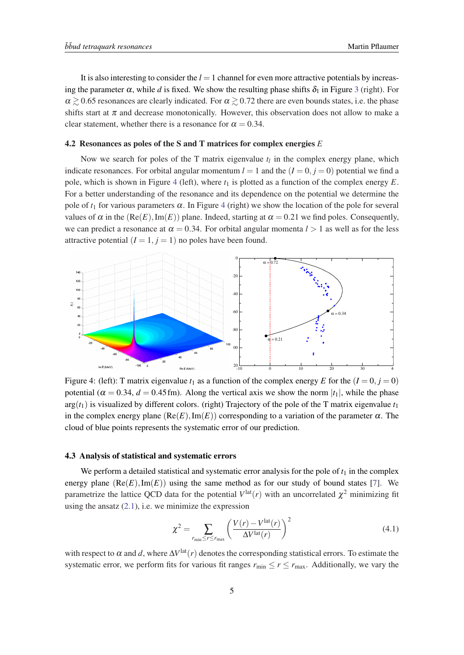It is also interesting to consider the  $l = 1$  channel for even more attractive potentials by increasing the parameter  $\alpha$ , while *d* is fixed. We show the resulting phase shifts  $\delta_1$  in Figure [3](#page-4-0) (right). For  $\alpha \geq 0.65$  resonances are clearly indicated. For  $\alpha \geq 0.72$  there are even bounds states, i.e. the phase shifts start at  $\pi$  and decrease monotonically. However, this observation does not allow to make a clear statement, whether there is a resonance for  $\alpha = 0.34$ .

#### 4.2 Resonances as poles of the S and T matrices for complex energies *E*

Now we search for poles of the T matrix eigenvalue  $t_l$  in the complex energy plane, which indicate resonances. For orbital angular momentum  $l = 1$  and the  $(l = 0, j = 0)$  potential we find a pole, which is shown in Figure 4 (left), where  $t_1$  is plotted as a function of the complex energy  $E$ . For a better understanding of the resonance and its dependence on the potential we determine the pole of  $t_1$  for various parameters  $\alpha$ . In Figure 4 (right) we show the location of the pole for several values of  $\alpha$  in the (Re(*E*), Im(*E*)) plane. Indeed, starting at  $\alpha = 0.21$  we find poles. Consequently, we can predict a resonance at  $\alpha = 0.34$ . For orbital angular momenta  $l > 1$  as well as for the less attractive potential  $(I = 1, j = 1)$  no poles have been found.



Figure 4: (left): T matrix eigenvalue  $t_1$  as a function of the complex energy *E* for the  $(I = 0, j = 0)$ potential ( $\alpha = 0.34$ ,  $d = 0.45$  fm). Along the vertical axis we show the norm  $|t_1|$ , while the phase  $arg(t_1)$  is visualized by different colors. (right) Trajectory of the pole of the T matrix eigenvalue  $t_1$ in the complex energy plane  $(Re(E), Im(E))$  corresponding to a variation of the parameter  $\alpha$ . The cloud of blue points represents the systematic error of our prediction.

# 4.3 Analysis of statistical and systematic errors

We perform a detailed statistical and systematic error analysis for the pole of  $t_1$  in the complex energy plane  $(Re(E), Im(E))$  using the same method as for our study of bound states [\[7\]](#page-7-0). We parametrize the lattice QCD data for the potential  $V^{\text{lat}}(r)$  with an uncorrelated  $\chi^2$  minimizing fit using the ansatz  $(2.1)$  $(2.1)$ , i.e. we minimize the expression

$$
\chi^2 = \sum_{r_{\text{min}} \le r \le r_{\text{max}}} \left( \frac{V(r) - V^{\text{lat}}(r)}{\Delta V^{\text{lat}}(r)} \right)^2 \tag{4.1}
$$

with respect to  $\alpha$  and  $d$ , where  $\Delta V^{\text{lat}}(r)$  denotes the corresponding statistical errors. To estimate the systematic error, we perform fits for various fit ranges  $r_{\min} \le r \le r_{\max}$ . Additionally, we vary the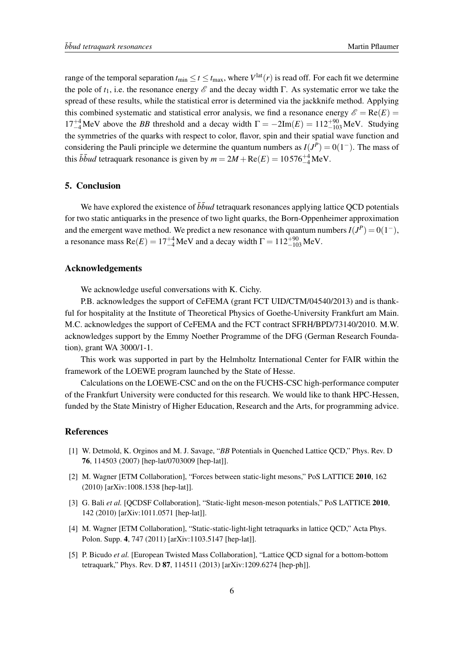<span id="page-6-0"></span>range of the temporal separation  $t_{\min} \le t \le t_{\max}$ , where  $V^{\text{lat}}(r)$  is read off. For each fit we determine the pole of  $t_1$ , i.e. the resonance energy  $\mathscr E$  and the decay width Γ. As systematic error we take the spread of these results, while the statistical error is determined via the jackknife method. Applying this combined systematic and statistical error analysis, we find a resonance energy  $\mathscr{E} = \text{Re}(E)$  $17^{+4}_{-4}$ MeV above the *BB* threshold and a decay width  $\Gamma = -2\text{Im}(E) = 112^{+90}_{-103}$  MeV. Studying the symmetries of the quarks with respect to color, flavor, spin and their spatial wave function and considering the Pauli principle we determine the quantum numbers as  $I(J^P) = 0(1^-)$ . The mass of this  $\bar{b} \bar{b} u d$  tetraquark resonance is given by  $m = 2M + \text{Re}(E) = 10576^{+4}_{-4}\text{MeV}$ .

# 5. Conclusion

We have explored the existence of  $\bar{b}$ *bud* tetraquark resonances applying lattice QCD potentials for two static antiquarks in the presence of two light quarks, the Born-Oppenheimer approximation and the emergent wave method. We predict a new resonance with quantum numbers  $I(J^P) = 0(1^-)$ , a resonance mass  $Re(E) = 17^{+4}_{-4}$  MeV and a decay width  $\Gamma = 112^{+90}_{-103}$  MeV.

# Acknowledgements

We acknowledge useful conversations with K. Cichy.

P.B. acknowledges the support of CeFEMA (grant FCT UID/CTM/04540/2013) and is thankful for hospitality at the Institute of Theoretical Physics of Goethe-University Frankfurt am Main. M.C. acknowledges the support of CeFEMA and the FCT contract SFRH/BPD/73140/2010. M.W. acknowledges support by the Emmy Noether Programme of the DFG (German Research Foundation), grant WA 3000/1-1.

This work was supported in part by the Helmholtz International Center for FAIR within the framework of the LOEWE program launched by the State of Hesse.

Calculations on the LOEWE-CSC and on the on the FUCHS-CSC high-performance computer of the Frankfurt University were conducted for this research. We would like to thank HPC-Hessen, funded by the State Ministry of Higher Education, Research and the Arts, for programming advice.

## **References**

- [1] W. Detmold, K. Orginos and M. J. Savage, "*BB* Potentials in Quenched Lattice QCD," Phys. Rev. D 76, 114503 (2007) [hep-lat/0703009 [hep-lat]].
- [2] M. Wagner [ETM Collaboration], "Forces between static-light mesons," PoS LATTICE 2010, 162 (2010) [arXiv:1008.1538 [hep-lat]].
- [3] G. Bali *et al.* [QCDSF Collaboration], "Static-light meson-meson potentials," PoS LATTICE 2010, 142 (2010) [arXiv:1011.0571 [hep-lat]].
- [4] M. Wagner [ETM Collaboration], "Static-static-light-light tetraquarks in lattice QCD," Acta Phys. Polon. Supp. 4, 747 (2011) [arXiv:1103.5147 [hep-lat]].
- [5] P. Bicudo *et al.* [European Twisted Mass Collaboration], "Lattice QCD signal for a bottom-bottom tetraquark," Phys. Rev. D 87, 114511 (2013) [arXiv:1209.6274 [hep-ph]].